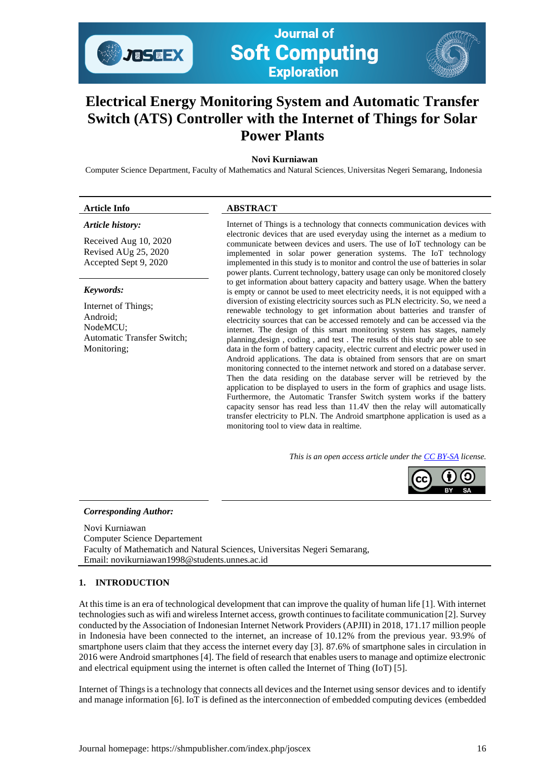

**Journal of Soft Computing Exploration** 

# **Electrical Energy Monitoring System and Automatic Transfer Switch (ATS) Controller with the Internet of Things for Solar Power Plants**

# **Novi Kurniawan**

Computer Science Department, Faculty of Mathematics and Natural Sciences, Universitas Negeri Semarang, Indonesia

#### **Article Info ABSTRACT**  *Article history:* Received Aug 10, 2020 Revised AUg 25, 2020 Accepted Sept 9, 2020 Internet of Things is a technology that connects communication devices with electronic devices that are used everyday using the internet as a medium to communicate between devices and users. The use of IoT technology can be implemented in solar power generation systems. The IoT technology implemented in this study is to monitor and control the use of batteries in solar power plants. Current technology, battery usage can only be monitored closely to get information about battery capacity and battery usage. When the battery is empty or cannot be used to meet electricity needs, it is not equipped with a diversion of existing electricity sources such as PLN electricity. So, we need a renewable technology to get information about batteries and transfer of electricity sources that can be accessed remotely and can be accessed via the internet. The design of this smart monitoring system has stages, namely planning,design , coding , and test . The results of this study are able to see data in the form of battery capacity, electric current and electric power used in Android applications. The data is obtained from sensors that are on smart monitoring connected to the internet network and stored on a database server. Then the data residing on the database server will be retrieved by the application to be displayed to users in the form of graphics and usage lists. Furthermore, the Automatic Transfer Switch system works if the battery capacity sensor has read less than 11.4V then the relay will automatically *Keywords:* Internet of Things; Android; NodeMCU; Automatic Transfer Switch; Monitoring;

monitoring tool to view data in realtime.

*This is an open access article under th[e CC BY-SA](https://creativecommons.org/licenses/by-sa/4.0/) license.*

transfer electricity to PLN. The Android smartphone application is used as a



## *Corresponding Author:*

Novi Kurniawan Computer Science Departement Faculty of Mathematich and Natural Sciences, Universitas Negeri Semarang, Email: novikurniawan1998@students.unnes.ac.id

## **1. INTRODUCTION**

At this time is an era of technological development that can improve the quality of human life [1]. With internet technologies such as wifi and wireless Internet access, growth continuesto facilitate communication [2]. Survey conducted by the Association of Indonesian Internet Network Providers (APJII) in 2018, 171.17 million people in Indonesia have been connected to the internet, an increase of 10.12% from the previous year. 93.9% of smartphone users claim that they access the internet every day [3]. 87.6% of smartphone sales in circulation in 2016 were Android smartphones [4]. The field of research that enables users to manage and optimize electronic and electrical equipment using the internet is often called the Internet of Thing (IoT) [5].

Internet of Thingsis a technology that connects all devices and the Internet using sensor devices and to identify and manage information [6]. IoT is defined as the interconnection of embedded computing devices (embedded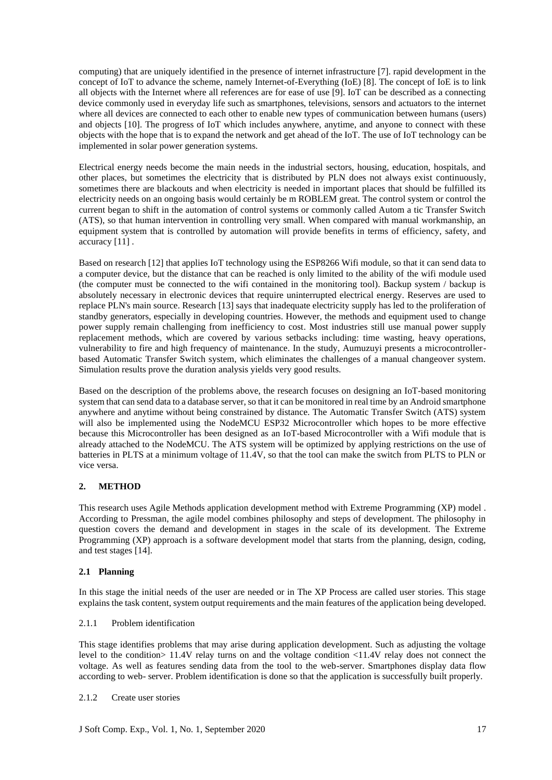computing) that are uniquely identified in the presence of internet infrastructure [7]. rapid development in the concept of IoT to advance the scheme, namely Internet-of-Everything (IoE) [8]. The concept of IoE is to link all objects with the Internet where all references are for ease of use [9]. IoT can be described as a connecting device commonly used in everyday life such as smartphones, televisions, sensors and actuators to the internet where all devices are connected to each other to enable new types of communication between humans (users) and objects [10]. The progress of IoT which includes anywhere, anytime, and anyone to connect with these objects with the hope that is to expand the network and get ahead of the IoT. The use of IoT technology can be implemented in solar power generation systems.

Electrical energy needs become the main needs in the industrial sectors, housing, education, hospitals, and other places, but sometimes the electricity that is distributed by PLN does not always exist continuously, sometimes there are blackouts and when electricity is needed in important places that should be fulfilled its electricity needs on an ongoing basis would certainly be m ROBLEM great. The control system or control the current began to shift in the automation of control systems or commonly called Autom a tic Transfer Switch (ATS), so that human intervention in controlling very small. When compared with manual workmanship, an equipment system that is controlled by automation will provide benefits in terms of efficiency, safety, and accuracy [11] .

Based on research [12] that applies IoT technology using the ESP8266 Wifi module, so that it can send data to a computer device, but the distance that can be reached is only limited to the ability of the wifi module used (the computer must be connected to the wifi contained in the monitoring tool). Backup system / backup is absolutely necessary in electronic devices that require uninterrupted electrical energy. Reserves are used to replace PLN's main source. Research [13] says that inadequate electricity supply has led to the proliferation of standby generators, especially in developing countries. However, the methods and equipment used to change power supply remain challenging from inefficiency to cost. Most industries still use manual power supply replacement methods, which are covered by various setbacks including: time wasting, heavy operations, vulnerability to fire and high frequency of maintenance. In the study, Aumuzuyi presents a microcontrollerbased Automatic Transfer Switch system, which eliminates the challenges of a manual changeover system. Simulation results prove the duration analysis yields very good results.

Based on the description of the problems above, the research focuses on designing an IoT-based monitoring system that can send data to a database server, so that it can be monitored in real time by an Android smartphone anywhere and anytime without being constrained by distance. The Automatic Transfer Switch (ATS) system will also be implemented using the NodeMCU ESP32 Microcontroller which hopes to be more effective because this Microcontroller has been designed as an IoT-based Microcontroller with a Wifi module that is already attached to the NodeMCU. The ATS system will be optimized by applying restrictions on the use of batteries in PLTS at a minimum voltage of 11.4V, so that the tool can make the switch from PLTS to PLN or vice versa.

# **2. METHOD**

This research uses Agile Methods application development method with Extreme Programming (XP) model . According to Pressman, the agile model combines philosophy and steps of development. The philosophy in question covers the demand and development in stages in the scale of its development. The Extreme Programming (XP) approach is a software development model that starts from the planning, design, coding, and test stages [14].

## **2.1 Planning**

In this stage the initial needs of the user are needed or in The XP Process are called user stories. This stage explains the task content, system output requirements and the main features of the application being developed.

## 2.1.1 Problem identification

This stage identifies problems that may arise during application development. Such as adjusting the voltage level to the condition> 11.4V relay turns on and the voltage condition <11.4V relay does not connect the voltage. As well as features sending data from the tool to the web-server. Smartphones display data flow according to web- server. Problem identification is done so that the application is successfully built properly.

#### 2.1.2 Create user stories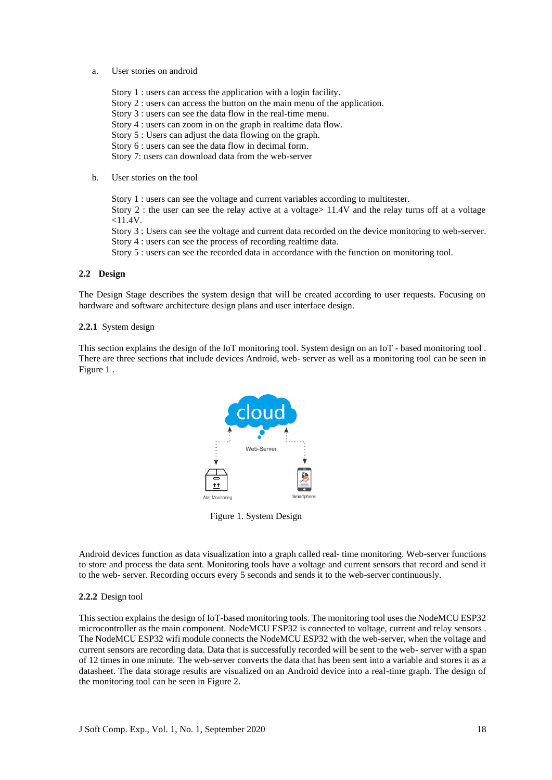#### a. User stories on android

- Story 1 : users can access the application with a login facility. Story 2 : users can access the button on the main menu of the application. Story 3 : users can see the data flow in the real-time menu. Story 4 : users can zoom in on the graph in realtime data flow. Story 5 : Users can adjust the data flowing on the graph. Story 6 : users can see the data flow in decimal form. Story 7: users can download data from the web-server
- b. User stories on the tool

Story 1 : users can see the voltage and current variables according to multitester. Story 2 : the user can see the relay active at a voltage> 11.4V and the relay turns off at a voltage  $<$ 11.4V. Story 3 : Users can see the voltage and current data recorded on the device monitoring to web-server. Story 4 : users can see the process of recording realtime data. Story 5 : users can see the recorded data in accordance with the function on monitoring tool.

#### **2.2 Design**

The Design Stage describes the system design that will be created according to user requests. Focusing on hardware and software architecture design plans and user interface design.

#### **2.2.1** System design

This section explains the design of the IoT monitoring tool. System design on an IoT - based monitoring tool . There are three sections that include devices Android, web- server as well as a monitoring tool can be seen in Figure 1 .



Figure 1. System Design

Android devices function as data visualization into a graph called real- time monitoring. Web-server functions to store and process the data sent. Monitoring tools have a voltage and current sensors that record and send it to the web- server. Recording occurs every 5 seconds and sends it to the web-server continuously.

#### **2.2.2** Design tool

This section explains the design of IoT-based monitoring tools. The monitoring tool uses the NodeMCU ESP32 microcontroller as the main component. NodeMCU ESP32 is connected to voltage, current and relay sensors . The NodeMCU ESP32 wifi module connects the NodeMCU ESP32 with the web-server, when the voltage and current sensors are recording data. Data that is successfully recorded will be sent to the web- server with a span of 12 times in one minute. The web-server converts the data that has been sent into a variable and stores it as a datasheet. The data storage results are visualized on an Android device into a real-time graph. The design of the monitoring tool can be seen in Figure 2.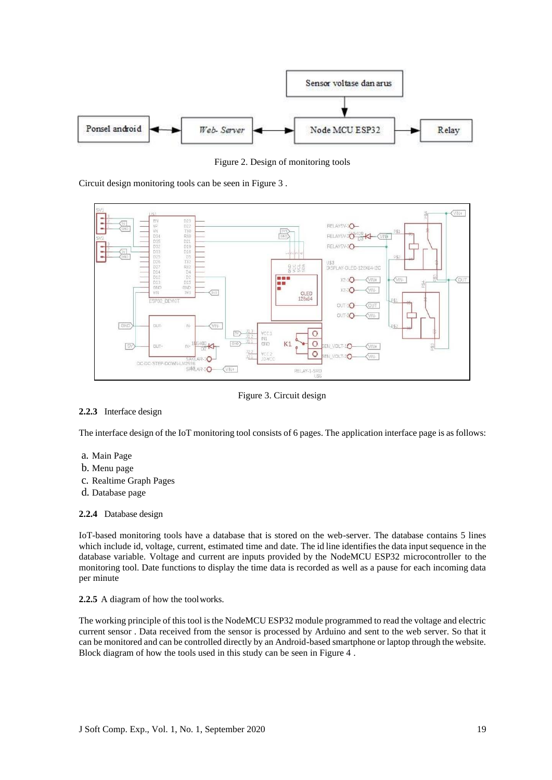

Figure 2. Design of monitoring tools

Circuit design monitoring tools can be seen in Figure 3 .



Figure 3. Circuit design

# **2.2.3** Interface design

The interface design of the IoT monitoring tool consists of 6 pages. The application interface page is as follows:

- a. Main Page
- b. Menu page
- c. Realtime Graph Pages
- d. Database page

## **2.2.4** Database design

IoT-based monitoring tools have a database that is stored on the web-server. The database contains 5 lines which include id, voltage, current, estimated time and date. The id line identifies the data input sequence in the database variable. Voltage and current are inputs provided by the NodeMCU ESP32 microcontroller to the monitoring tool. Date functions to display the time data is recorded as well as a pause for each incoming data per minute

## **2.2.5** A diagram of how the toolworks.

The working principle of this tool is the NodeMCU ESP32 module programmed to read the voltage and electric current sensor . Data received from the sensor is processed by Arduino and sent to the web server. So that it can be monitored and can be controlled directly by an Android-based smartphone or laptop through the website. Block diagram of how the tools used in this study can be seen in Figure 4 .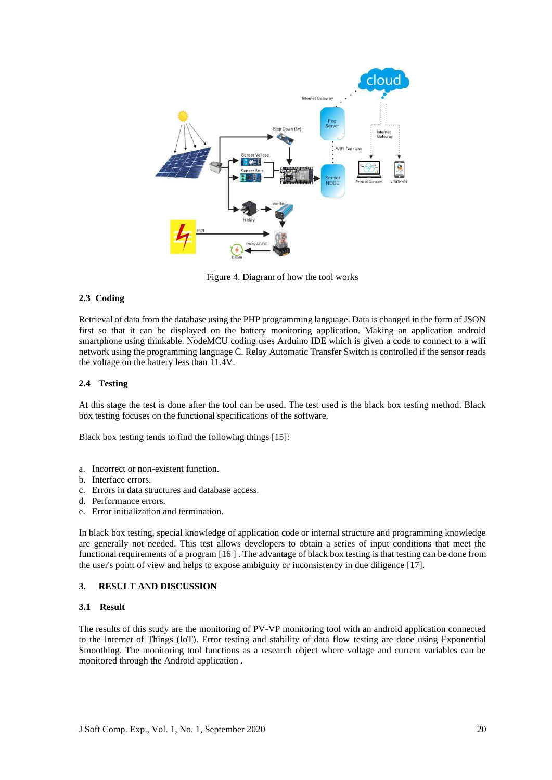

Figure 4. Diagram of how the tool works

#### **2.3 Coding**

Retrieval of data from the database using the PHP programming language. Data is changed in the form of JSON first so that it can be displayed on the battery monitoring application. Making an application android smartphone using thinkable. NodeMCU coding uses Arduino IDE which is given a code to connect to a wifi network using the programming language C. Relay Automatic Transfer Switch is controlled if the sensor reads the voltage on the battery less than 11.4V.

#### **2.4 Testing**

At this stage the test is done after the tool can be used. The test used is the black box testing method. Black box testing focuses on the functional specifications of the software.

Black box testing tends to find the following things [15]:

- a. Incorrect or non-existent function.
- b. Interface errors.
- c. Errors in data structures and database access.
- d. Performance errors.
- e. Error initialization and termination.

In black box testing, special knowledge of application code or internal structure and programming knowledge are generally not needed. This test allows developers to obtain a series of input conditions that meet the functional requirements of a program [16 ] . The advantage of black box testing is that testing can be done from the user's point of view and helps to expose ambiguity or inconsistency in due diligence [17].

#### **3. RESULT AND DISCUSSION**

#### **3.1 Result**

The results of this study are the monitoring of PV-VP monitoring tool with an android application connected to the Internet of Things (IoT). Error testing and stability of data flow testing are done using Exponential Smoothing. The monitoring tool functions as a research object where voltage and current variables can be monitored through the Android application .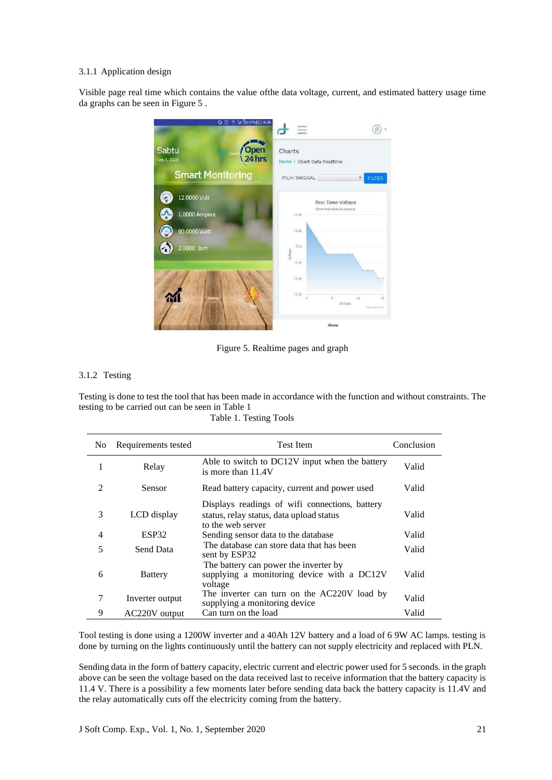#### 3.1.1 Application design

Visible page real time which contains the value ofthe data voltage, current, and estimated battery usage time da graphs can be seen in Figure 5 .



Figure 5. Realtime pages and graph

# 3.1.2 Testing

Testing is done to test the tool that has been made in accordance with the function and without constraints. The testing to be carried out can be seen in Table 1

| No             | Requirements tested | <b>Test Item</b>                                                                                                | Conclusion |
|----------------|---------------------|-----------------------------------------------------------------------------------------------------------------|------------|
| 1              | Relay               | Able to switch to DC12V input when the battery<br>is more than 11.4V                                            | Valid      |
| 2              | Sensor              | Read battery capacity, current and power used                                                                   | Valid      |
| 3              | LCD display         | Displays readings of wifi connections, battery<br>status, relay status, data upload status<br>to the web server | Valid      |
| $\overline{4}$ | ESP32               | Sending sensor data to the database                                                                             | Valid      |
| 5              | Send Data           | The database can store data that has been<br>sent by ESP32                                                      | Valid      |
| 6              | <b>Battery</b>      | The battery can power the inverter by<br>supplying a monitoring device with a DC12V<br>voltage                  | Valid      |
| 7              | Inverter output     | The inverter can turn on the AC220V load by<br>supplying a monitoring device                                    | Valid      |
| 9              | AC220V output       | Can turn on the load                                                                                            | Valid      |

Table 1. Testing Tools

Tool testing is done using a 1200W inverter and a 40Ah 12V battery and a load of 6 9W AC lamps. testing is done by turning on the lights continuously until the battery can not supply electricity and replaced with PLN.

Sending data in the form of battery capacity, electric current and electric power used for 5 seconds. in the graph above can be seen the voltage based on the data received last to receive information that the battery capacity is 11.4 V. There is a possibility a few moments later before sending data back the battery capacity is 11.4V and the relay automatically cuts off the electricity coming from the battery.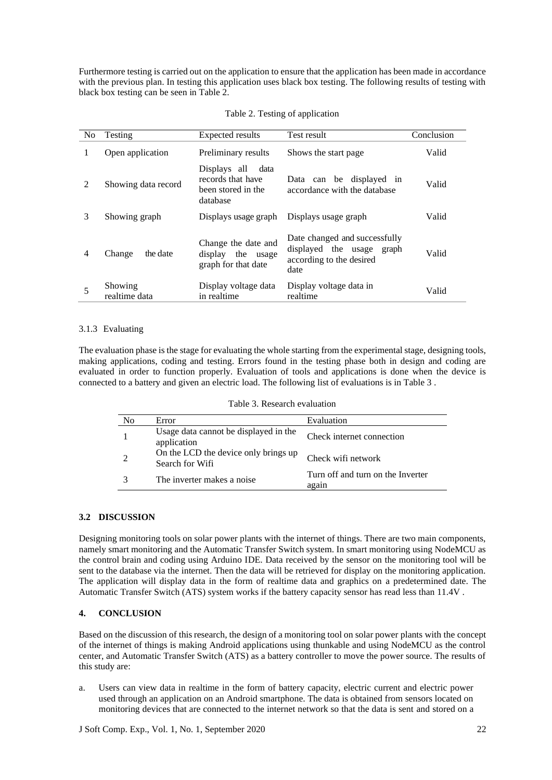Furthermore testing is carried out on the application to ensure that the application has been made in accordance with the previous plan. In testing this application uses black box testing. The following results of testing with black box testing can be seen in Table 2.

| N <sub>0</sub> | Testing                  | Expected results                                                            | Test result                                                                                    | Conclusion |
|----------------|--------------------------|-----------------------------------------------------------------------------|------------------------------------------------------------------------------------------------|------------|
| 1              | Open application         | Preliminary results                                                         | Shows the start page                                                                           | Valid      |
| $\mathfrak{D}$ | Showing data record      | Displays all<br>data<br>records that have<br>been stored in the<br>database | Data can be displayed in<br>accordance with the database                                       | Valid      |
| 3              | Showing graph            | Displays usage graph                                                        | Displays usage graph                                                                           | Valid      |
| 4              | Change<br>the date       | Change the date and<br>display the usage<br>graph for that date             | Date changed and successfully<br>displayed the usage graph<br>according to the desired<br>date | Valid      |
| 5              | Showing<br>realtime data | Display voltage data<br>in realtime                                         | Display voltage data in<br>realtime                                                            | Valid      |

# 3.1.3 Evaluating

The evaluation phase is the stage for evaluating the whole starting from the experimental stage, designing tools, making applications, coding and testing. Errors found in the testing phase both in design and coding are evaluated in order to function properly. Evaluation of tools and applications is done when the device is connected to a battery and given an electric load. The following list of evaluations is in Table 3 .

| No | Error                                                   | Evaluation                                 |
|----|---------------------------------------------------------|--------------------------------------------|
|    | Usage data cannot be displayed in the<br>application    | Check internet connection                  |
|    | On the LCD the device only brings up<br>Search for Wifi | Check wifi network                         |
|    | The inverter makes a noise.                             | Turn off and turn on the Inverter<br>again |

#### **3.2 DISCUSSION**

Designing monitoring tools on solar power plants with the internet of things. There are two main components, namely smart monitoring and the Automatic Transfer Switch system. In smart monitoring using NodeMCU as the control brain and coding using Arduino IDE. Data received by the sensor on the monitoring tool will be sent to the database via the internet. Then the data will be retrieved for display on the monitoring application. The application will display data in the form of realtime data and graphics on a predetermined date. The Automatic Transfer Switch (ATS) system works if the battery capacity sensor has read less than 11.4V .

## **4. CONCLUSION**

Based on the discussion of thisresearch, the design of a monitoring tool on solar power plants with the concept of the internet of things is making Android applications using thunkable and using NodeMCU as the control center, and Automatic Transfer Switch (ATS) as a battery controller to move the power source. The results of this study are:

a. Users can view data in realtime in the form of battery capacity, electric current and electric power used through an application on an Android smartphone. The data is obtained from sensors located on monitoring devices that are connected to the internet network so that the data is sent and stored on a